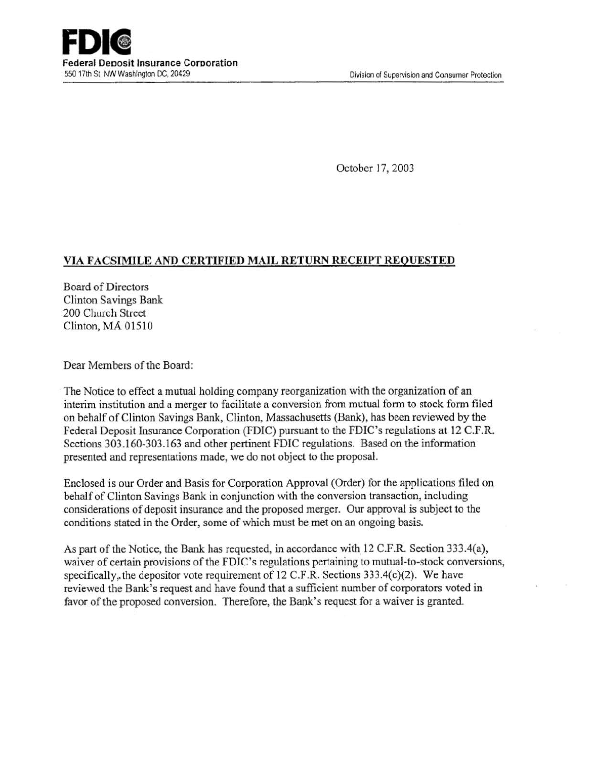October 17, 2003

# VIA FACSIMILE AND CERTIFIED MAIL RETURN RECEIPT REQUESTED

Board of Directors Clinton Savings Bank 200 Church Street Clinton, MA 01510

Dear Members of the Board:

The Notice to effect a mutual holding company reorganization with the organization of an interim institution and a merger to facilitate a conversion from mutual form to stock form filed on behalf of Clinton Savings Bank, Clinton, Massachusetts (Bank), has been reviewed by the Federal Deposit Insurance Corporation (FDIC) pursuant to the FDIC's regulations at 12 C.F.R. Sections 303.160-303.163 and other pertinent FDIC regulations. Based on the information presented and representations made, we do not object to the proposal.

Enclosed is our Order and Basis for Corporation Approval (Order) for the applications filed on behalf of Clinton Savings Bank in conjunction with the conversion transaction, including considerations of deposit insurance and the proposed merger. Our approval is subject to the conditions stated in the Order, some of which must be met on an ongoing basis.

As part of the Notice, the Bank has requested, in accordance with 12 C.F.R. Section 333.4(a), waiver of certain provisions of the FDIC's regulations pertaining to mutual-to-stock conversions, specifically, the depositor vote requirement of 12 C.F.R. Sections  $333.4(c)(2)$ . We have reviewed the Bank's request and have found that a sufficient number of corporators voted in favor of the proposed conversion. Therefore, the Bank's request for a waiver is granted.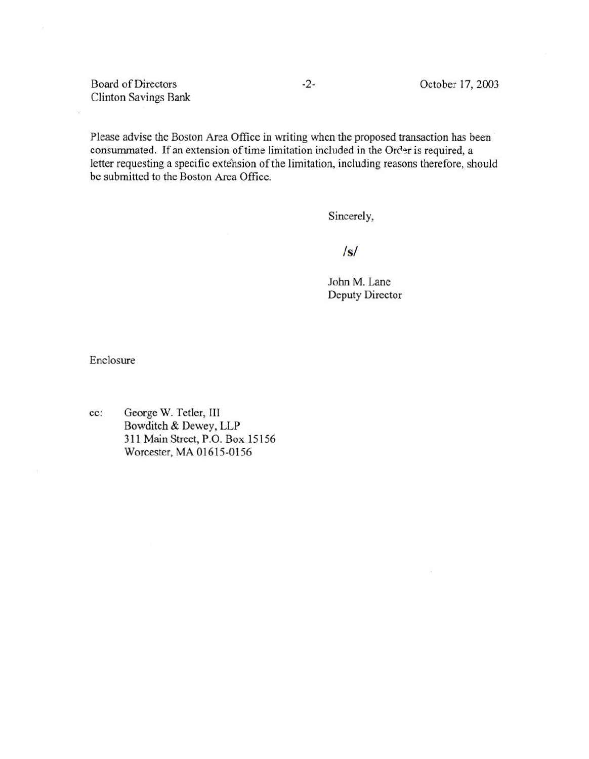Board of Directors Clinton Savings Bank

ä

Please advise the Boston Area Office in writing when the proposed transaction has been consummated. If an extension of time limitation included in the Order is required, a letter requesting a specific extension of the limitation, including reasons therefore, should be submitted to the Boston Area Office.

Sincerely,

# *Is/*

John M. Lane Deputy Director

Enclosure

cc: George W. Tetler, III Bowditch & Dewey, LLP 311 Main Street, P.O. Box 15156 Worcester, MA 01615-0156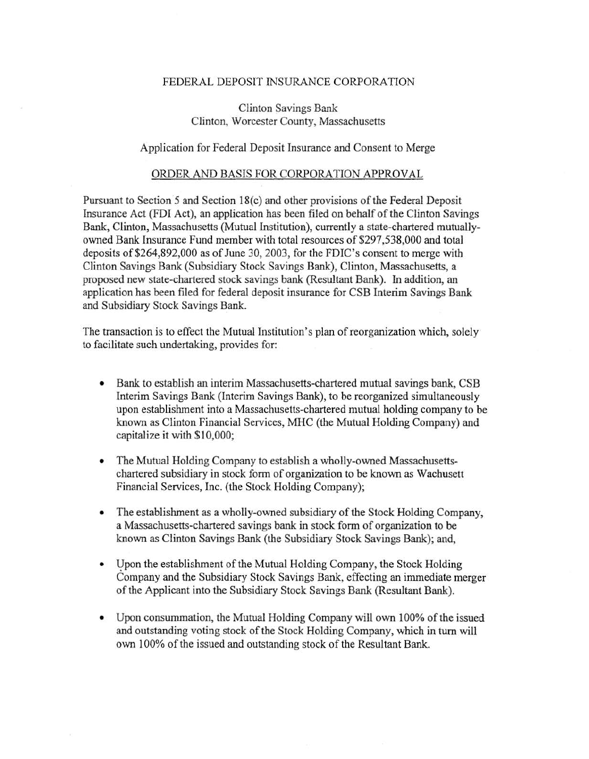### FEDERAL DEPOSIT INSURANCE CORPORATION

Clinton Savings Bank Clinton, Worcester County, Massachusetts

#### Application for Federal Deposit Insurance and Consent to Merge

### ORDER AND BASIS FOR CORPORATION APPROVAL

Pursuant to Section 5 and Section 18(c) and other provisions of the Federal Deposit Insurance Act (FDI Act), an application has been filed on behalf of the Clinton Savings Bank, Clinton, Massachusetts (Mutual Institution), currently a state-chartered mutuallyowned Bank Insurance Fund member with total resources of \$297,538,000 and total deposits of\$264,892,000 as of June 30, 2003, for the FDIC's consent to merge with Clinton Savings Bank (Subsidiary Stock Savings Bank), Clinton, Massachusetts, a proposed new state-chartered stock savings bank (Resultant Bank). In addition, an application has been filed for federal deposit insurance for CSB Interim Savings Bank and Subsidiary Stock Savings Bank.

The transaction is to effect the Mutual Institution's plan of reorganization which, solely to facilitate such undertaking, provides for:

- Bank to establish an interim Massachusetts-chartered mutual savings bank, CSB Interim Savings Bank (Interim Savings Bank), to be reorganized simultaneously upon establishment into a Massachusetts-chartered mutual holding company to be known as Clinton Financial Services, MHC (the Mutual Holding Company) and capitalize it with \$10,000;
- The Mutual Holding Company to establish a wholly-owned Massachusettschartered subsidiary in stock form of organization to be known as Wachusett Financial Services, Inc. (the Stock Holding Company);
- The establishment as a wholly-owned subsidiary of the Stock Holding Company, a Massachusetts-chartered savings bank in stock form of organization to be known as Clinton Savings Bank (the Subsidiary Stock Savings Bank); and,
- Upon the establishment of the Mutual Holding Company, the Stock Holding Company and the Subsidiary Stock Savings Bank, effecting an immediate merger of the Applicant into the Subsidiary Stock Savings Bank (Resultant Bank).
- Upon consummation, the Mutual Holding Company will own 100% of the issued and outstanding voting stock of the Stock Holding Company, which in tum will own 100% of the issued and outstanding stock of the Resultant Bank.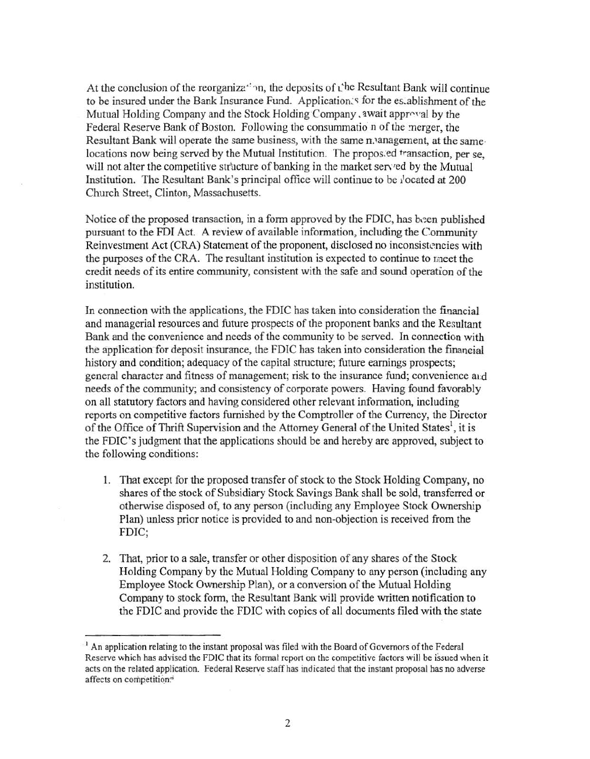At the conclusion of the reorganiza<sup>21</sup> in, the deposits of the Resultant Bank will continue to be insured under the Bank Insurance Fund. Application's for the establishment of the Mutual Holding Company and the Stock Holding Company , await approval by the Federal Reserve Bank of Boston. Following the consummation of the merger, the Resultant Bank will operate the same business, with the same n. anagement, at the same locations now being served by the Mutual Institution. The proposed transaction, per se. will not alter the competitive structure of banking in the market served by the Mutual Institution. The Resultant Bank's principal office will continue to be *i* located at 200 Church Street, Clinton, Massachusetts.

Notice of the proposed transaction, in a form approved by the FDIC, has been published pursuant to the FDI Act. A review of available information, including the Community Reinvestment Act (CRA) Statement of the proponent, disclosed no inconsistencies with the purposes of the CRA. The resultant institution is expected to continue to meet the credit needs of its entire community, consistent with the safe and sound operation of the institution.

In connection with the applications, the FDIC has taken into consideration the financial and managerial resources and future prospects of the proponent banks and the Resultant Bank and the convenience and needs of the community to be served. In connection with the application for deposit insurance, the FDIC has taken into consideration the financial history and condition; adequacy of the capital structure; future earnings prospects; general character and fitness of management; risk to the insurance fund; convenience and needs of the community; and consistency of corporate powers. Having found favorably on all statutory factors and having considered other relevant information, including reports on competitive factors furnished by the Comptroller of the Currency, the Director of the Office of Thrift Supervision and the Attorney General of the United States<sup>1</sup>, it is the FDIC's judgment that the applications should be and hereby are approved, subject to the following conditions:

- 1. That except for the proposed transfer of stock to the Stock Holding Company, no shares of the stock of Subsidiary Stock Savings Bank shall be sold, transferred or otherwise disposed of, to any person (including any Employee Stock Ownership Plan) unless prior notice is provided to and non-objection is received from the FDIC;
- 2. That, prior to a sale, transfer or other disposition of any shares of the Stock Holding Company by the Mutual Holding Company to any person (including any Employee Stock Ownership Plan), or a conversion of the Mutual Holding Company to stock form, the Resultant Bank will provide written notification to the FDIC and provide the FDIC with copies of all documents filed with the state

<sup>&</sup>lt;sup>1</sup> An application relating to the instant proposal was filed with the Board of Governors of the Federal Reserve which has advised the FDIC that its formal report on the competitive factors will be issued when it acts on the related application. Federal Reserve staff has indicated that the instant proposal has no adverse affects on competition.<sup>5</sup>